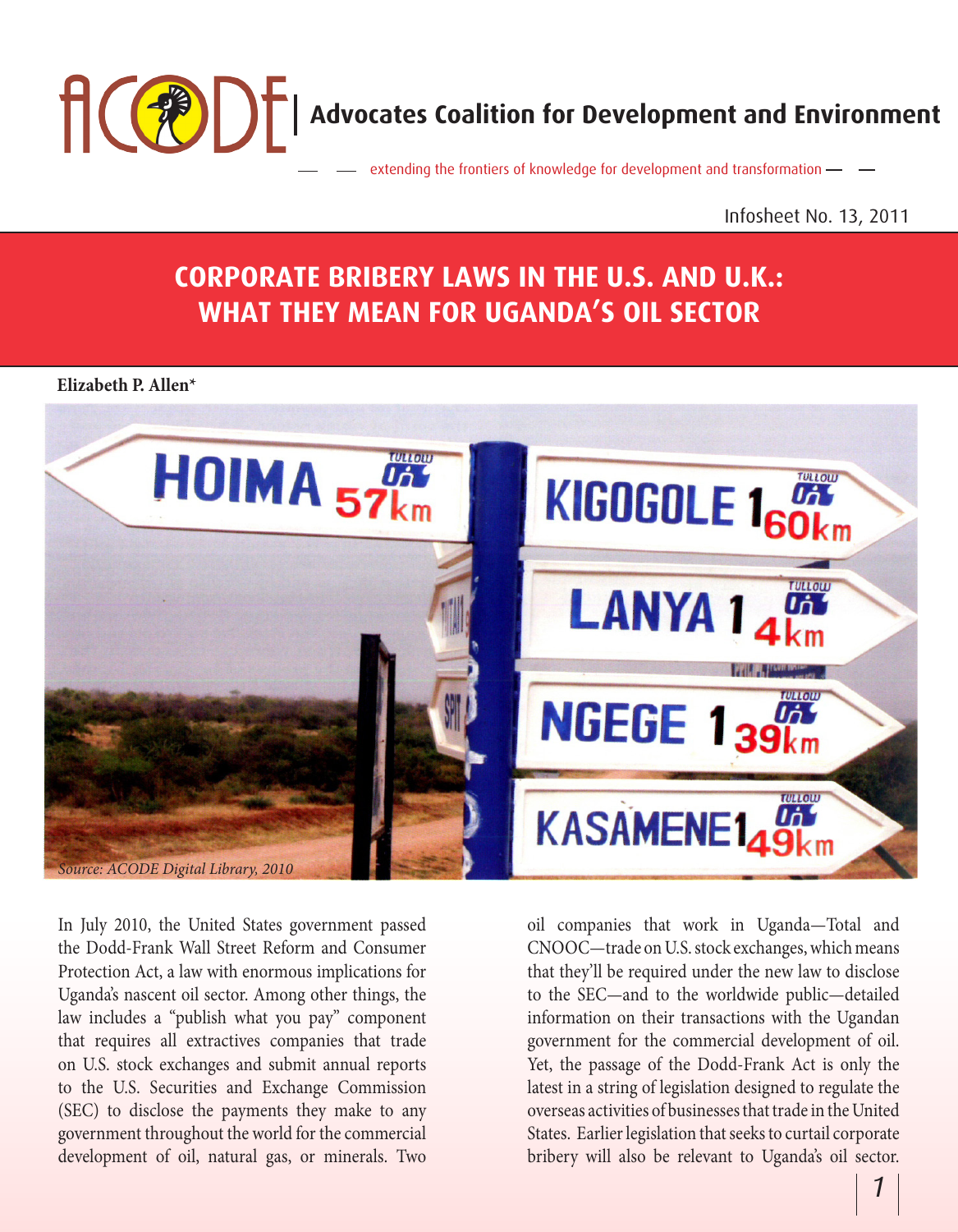

Infosheet No. 13, 2011

# **CORPORATE BRIBERY LAWS IN THE U.S. AND U.K.: WHAT THEY MEAN FOR UGANDA'S OIL SECTOR**

#### **Elizabeth P. Allen\***



In July 2010, the United States government passed the Dodd-Frank Wall Street Reform and Consumer Protection Act, a law with enormous implications for Uganda's nascent oil sector. Among other things, the law includes a "publish what you pay" component that requires all extractives companies that trade on U.S. stock exchanges and submit annual reports to the U.S. Securities and Exchange Commission (SEC) to disclose the payments they make to any government throughout the world for the commercial development of oil, natural gas, or minerals. Two

oil companies that work in Uganda—Total and CNOOC—trade on U.S. stock exchanges, which means that they'll be required under the new law to disclose to the SEC—and to the worldwide public—detailed information on their transactions with the Ugandan government for the commercial development of oil. Yet, the passage of the Dodd-Frank Act is only the latest in a string of legislation designed to regulate the overseas activities of businesses that trade in the United States. Earlier legislation that seeks to curtail corporate bribery will also be relevant to Uganda's oil sector.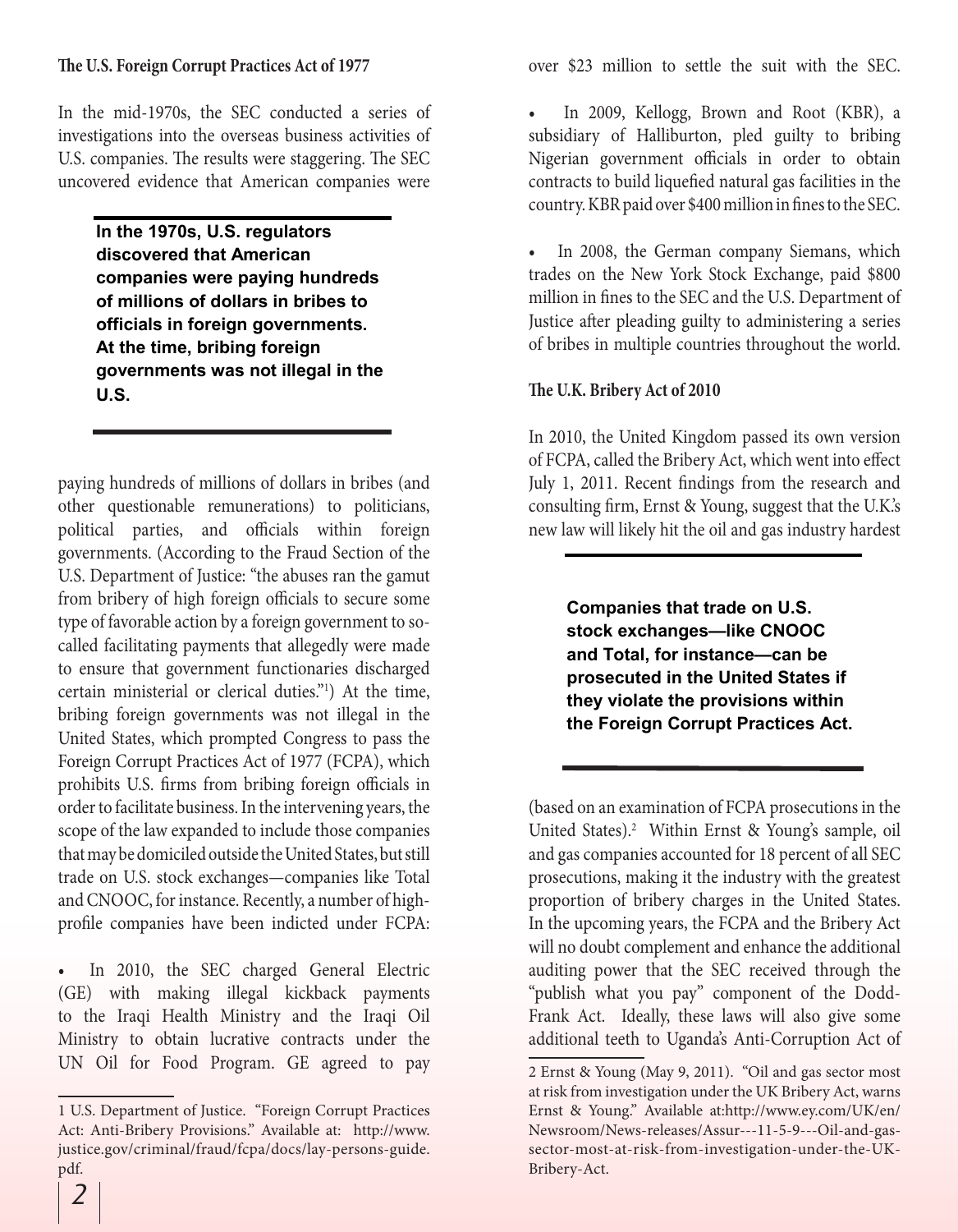#### **The U.S. Foreign Corrupt Practices Act of 1977**

In the mid-1970s, the SEC conducted a series of investigations into the overseas business activities of U.S. companies. The results were staggering. The SEC uncovered evidence that American companies were

> **In the 1970s, U.S. regulators discovered that American companies were paying hundreds of millions of dollars in bribes to officials in foreign governments. At the time, bribing foreign governments was not illegal in the U.S.**

paying hundreds of millions of dollars in bribes (and other questionable remunerations) to politicians, political parties, and officials within foreign governments. (According to the Fraud Section of the U.S. Department of Justice: "the abuses ran the gamut from bribery of high foreign officials to secure some type of favorable action by a foreign government to socalled facilitating payments that allegedly were made to ensure that government functionaries discharged certain ministerial or clerical duties."1 ) At the time, bribing foreign governments was not illegal in the United States, which prompted Congress to pass the Foreign Corrupt Practices Act of 1977 (FCPA), which prohibits U.S. firms from bribing foreign officials in order to facilitate business. In the intervening years, the scope of the law expanded to include those companies that may be domiciled outside the United States, but still trade on U.S. stock exchanges—companies like Total and CNOOC, for instance. Recently, a number of highprofile companies have been indicted under FCPA:

In 2010, the SEC charged General Electric (GE) with making illegal kickback payments to the Iraqi Health Ministry and the Iraqi Oil Ministry to obtain lucrative contracts under the UN Oil for Food Program. GE agreed to pay over \$23 million to settle the suit with the SEC.

• In 2009, Kellogg, Brown and Root (KBR), a subsidiary of Halliburton, pled guilty to bribing Nigerian government officials in order to obtain contracts to build liquefied natural gas facilities in the country. KBR paid over \$400 million in fines to the SEC.

In 2008, the German company Siemans, which trades on the New York Stock Exchange, paid \$800 million in fines to the SEC and the U.S. Department of Justice after pleading guilty to administering a series of bribes in multiple countries throughout the world.

#### **The U.K. Bribery Act of 2010**

In 2010, the United Kingdom passed its own version of FCPA, called the Bribery Act, which went into effect July 1, 2011. Recent findings from the research and consulting firm, Ernst & Young, suggest that the U.K.'s new law will likely hit the oil and gas industry hardest

> **Companies that trade on U.S. stock exchanges—like CNOOC and Total, for instance—can be prosecuted in the United States if they violate the provisions within the Foreign Corrupt Practices Act.**

(based on an examination of FCPA prosecutions in the United States).<sup>2</sup> Within Ernst & Young's sample, oil and gas companies accounted for 18 percent of all SEC prosecutions, making it the industry with the greatest proportion of bribery charges in the United States. In the upcoming years, the FCPA and the Bribery Act will no doubt complement and enhance the additional auditing power that the SEC received through the "publish what you pay" component of the Dodd-Frank Act. Ideally, these laws will also give some additional teeth to Uganda's Anti-Corruption Act of

<sup>1</sup> U.S. Department of Justice. "Foreign Corrupt Practices Act: Anti-Bribery Provisions." Available at: http://www. justice.gov/criminal/fraud/fcpa/docs/lay-persons-guide. pdf.

<sup>2</sup> Ernst & Young (May 9, 2011). "Oil and gas sector most at risk from investigation under the UK Bribery Act, warns Ernst & Young." Available at:http://www.ey.com/UK/en/ Newsroom/News-releases/Assur---11-5-9---Oil-and-gassector-most-at-risk-from-investigation-under-the-UK-Bribery-Act.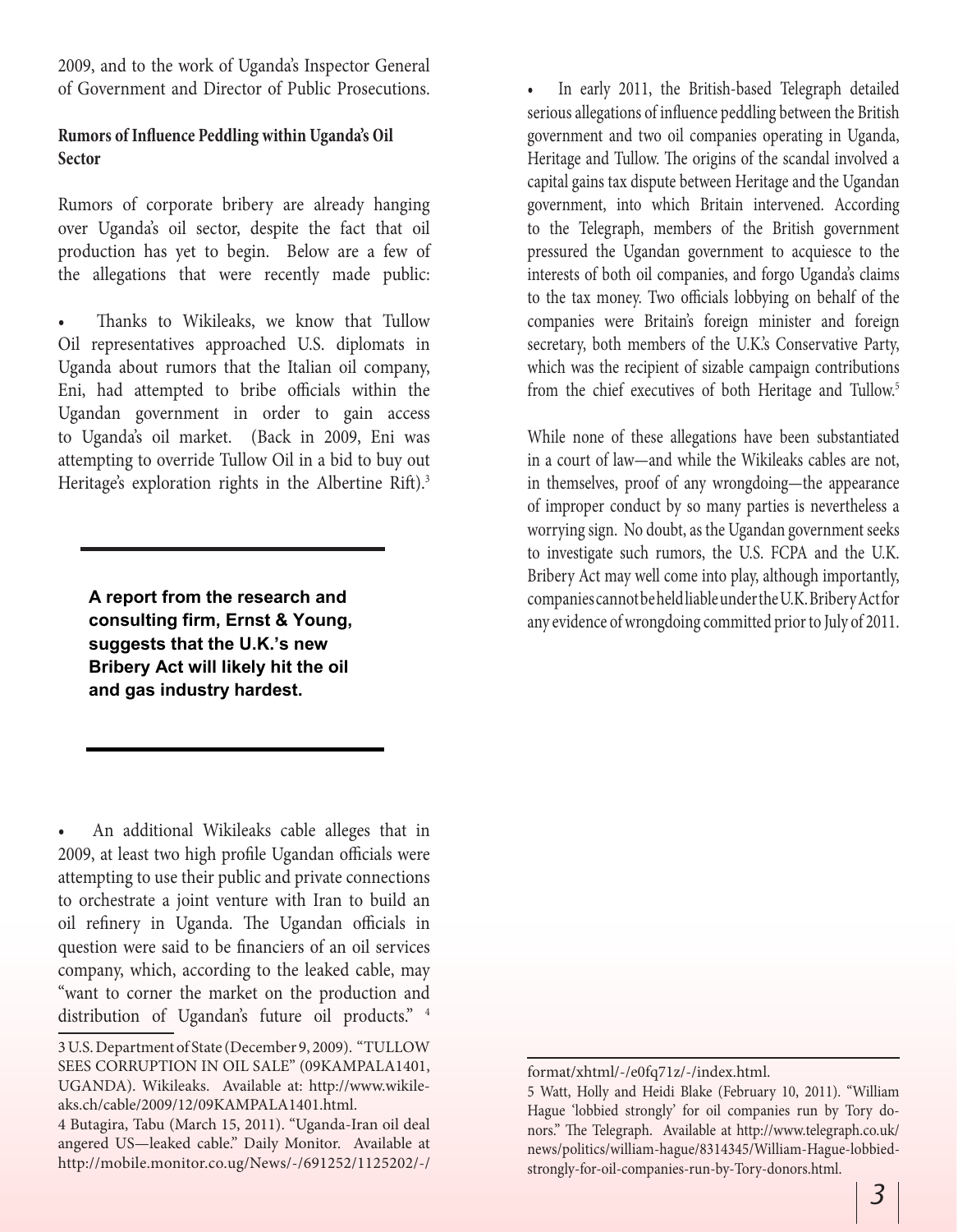2009, and to the work of Uganda's Inspector General of Government and Director of Public Prosecutions.

### **Rumors of Influence Peddling within Uganda's Oil Sector**

Rumors of corporate bribery are already hanging over Uganda's oil sector, despite the fact that oil production has yet to begin. Below are a few of the allegations that were recently made public:

Thanks to Wikileaks, we know that Tullow Oil representatives approached U.S. diplomats in Uganda about rumors that the Italian oil company, Eni, had attempted to bribe officials within the Ugandan government in order to gain access to Uganda's oil market. (Back in 2009, Eni was attempting to override Tullow Oil in a bid to buy out Heritage's exploration rights in the Albertine Rift).<sup>3</sup>

**A report from the research and consulting firm, Ernst & Young, suggests that the U.K.'s new Bribery Act will likely hit the oil and gas industry hardest.**

• An additional Wikileaks cable alleges that in 2009, at least two high profile Ugandan officials were attempting to use their public and private connections to orchestrate a joint venture with Iran to build an oil refinery in Uganda. The Ugandan officials in question were said to be financiers of an oil services company, which, according to the leaked cable, may "want to corner the market on the production and distribution of Ugandan's future oil products." <sup>4</sup>

• In early 2011, the British-based Telegraph detailed serious allegations of influence peddling between the British government and two oil companies operating in Uganda, Heritage and Tullow. The origins of the scandal involved a capital gains tax dispute between Heritage and the Ugandan government, into which Britain intervened. According to the Telegraph, members of the British government pressured the Ugandan government to acquiesce to the interests of both oil companies, and forgo Uganda's claims to the tax money. Two officials lobbying on behalf of the companies were Britain's foreign minister and foreign secretary, both members of the U.K.'s Conservative Party, which was the recipient of sizable campaign contributions from the chief executives of both Heritage and Tullow.<sup>5</sup>

While none of these allegations have been substantiated in a court of law—and while the Wikileaks cables are not, in themselves, proof of any wrongdoing—the appearance of improper conduct by so many parties is nevertheless a worrying sign. No doubt, as the Ugandan government seeks to investigate such rumors, the U.S. FCPA and the U.K. Bribery Act may well come into play, although importantly, companies cannot be held liable under the U.K. Bribery Act for any evidence of wrongdoing committed prior to July of 2011.

<sup>3</sup> U.S. Department of State (December 9, 2009). "TULLOW SEES CORRUPTION IN OIL SALE" (09KAMPALA1401, UGANDA). Wikileaks. Available at: http://www.wikileaks.ch/cable/2009/12/09KAMPALA1401.html.

<sup>4</sup> Butagira, Tabu (March 15, 2011). "Uganda-Iran oil deal angered US—leaked cable." Daily Monitor. Available at http://mobile.monitor.co.ug/News/-/691252/1125202/-/

format/xhtml/-/e0fq71z/-/index.html.

<sup>5</sup> Watt, Holly and Heidi Blake (February 10, 2011). "William Hague 'lobbied strongly' for oil companies run by Tory donors." The Telegraph. Available at http://www.telegraph.co.uk/ news/politics/william-hague/8314345/William-Hague-lobbiedstrongly-for-oil-companies-run-by-Tory-donors.html.